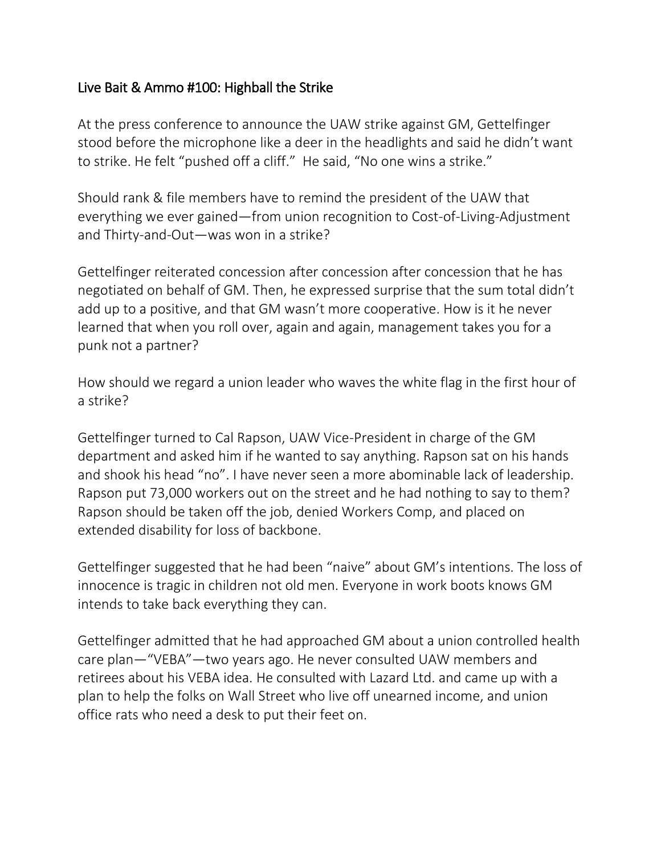## Live Bait & Ammo #100: Highball the Strike

At the press conference to announce the UAW strike against GM, Gettelfinger stood before the microphone like a deer in the headlights and said he didn't want to strike. He felt "pushed off a cliff." He said, "No one wins a strike."

Should rank & file members have to remind the president of the UAW that everything we ever gained—from union recognition to Cost-of-Living-Adjustment and Thirty-and-Out—was won in a strike?

Gettelfinger reiterated concession after concession after concession that he has negotiated on behalf of GM. Then, he expressed surprise that the sum total didn't add up to a positive, and that GM wasn't more cooperative. How is it he never learned that when you roll over, again and again, management takes you for a punk not a partner?

How should we regard a union leader who waves the white flag in the first hour of a strike?

Gettelfinger turned to Cal Rapson, UAW Vice-President in charge of the GM department and asked him if he wanted to say anything. Rapson sat on his hands and shook his head "no". I have never seen a more abominable lack of leadership. Rapson put 73,000 workers out on the street and he had nothing to say to them? Rapson should be taken off the job, denied Workers Comp, and placed on extended disability for loss of backbone.

Gettelfinger suggested that he had been "naive" about GM's intentions. The loss of innocence is tragic in children not old men. Everyone in work boots knows GM intends to take back everything they can.

Gettelfinger admitted that he had approached GM about a union controlled health care plan—"VEBA"—two years ago. He never consulted UAW members and retirees about his VEBA idea. He consulted with Lazard Ltd. and came up with a plan to help the folks on Wall Street who live off unearned income, and union office rats who need a desk to put their feet on.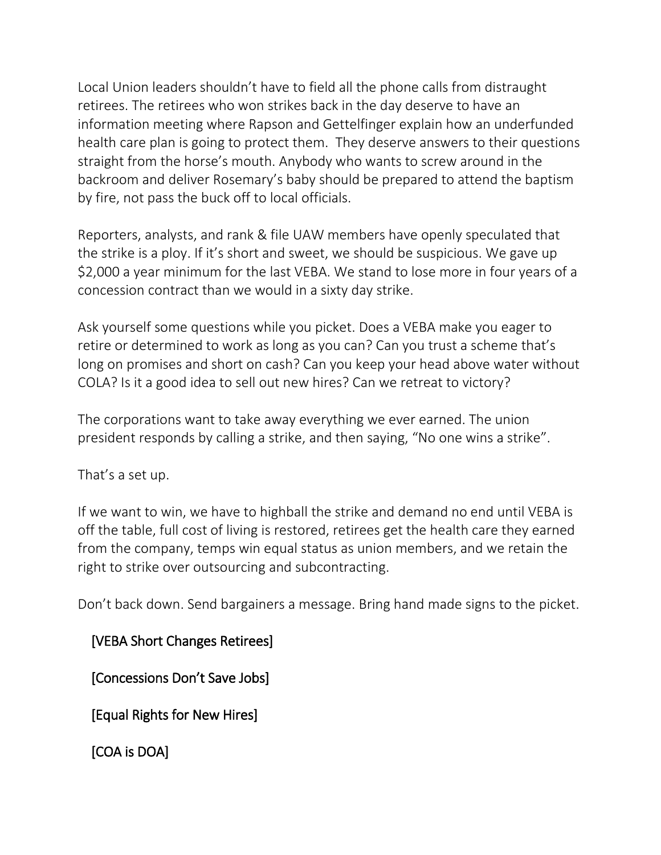Local Union leaders shouldn't have to field all the phone calls from distraught retirees. The retirees who won strikes back in the day deserve to have an information meeting where Rapson and Gettelfinger explain how an underfunded health care plan is going to protect them. They deserve answers to their questions straight from the horse's mouth. Anybody who wants to screw around in the backroom and deliver Rosemary's baby should be prepared to attend the baptism by fire, not pass the buck off to local officials.

Reporters, analysts, and rank & file UAW members have openly speculated that the strike is a ploy. If it's short and sweet, we should be suspicious. We gave up \$2,000 a year minimum for the last VEBA. We stand to lose more in four years of a concession contract than we would in a sixty day strike.

Ask yourself some questions while you picket. Does a VEBA make you eager to retire or determined to work as long as you can? Can you trust a scheme that's long on promises and short on cash? Can you keep your head above water without COLA? Is it a good idea to sell out new hires? Can we retreat to victory?

The corporations want to take away everything we ever earned. The union president responds by calling a strike, and then saying, "No one wins a strike".

That's a set up.

If we want to win, we have to highball the strike and demand no end until VEBA is off the table, full cost of living is restored, retirees get the health care they earned from the company, temps win equal status as union members, and we retain the right to strike over outsourcing and subcontracting.

Don't back down. Send bargainers a message. Bring hand made signs to the picket.

[VEBA Short Changes Retirees]

[Concessions Don't Save Jobs]

[Equal Rights for New Hires]

[COA is DOA]